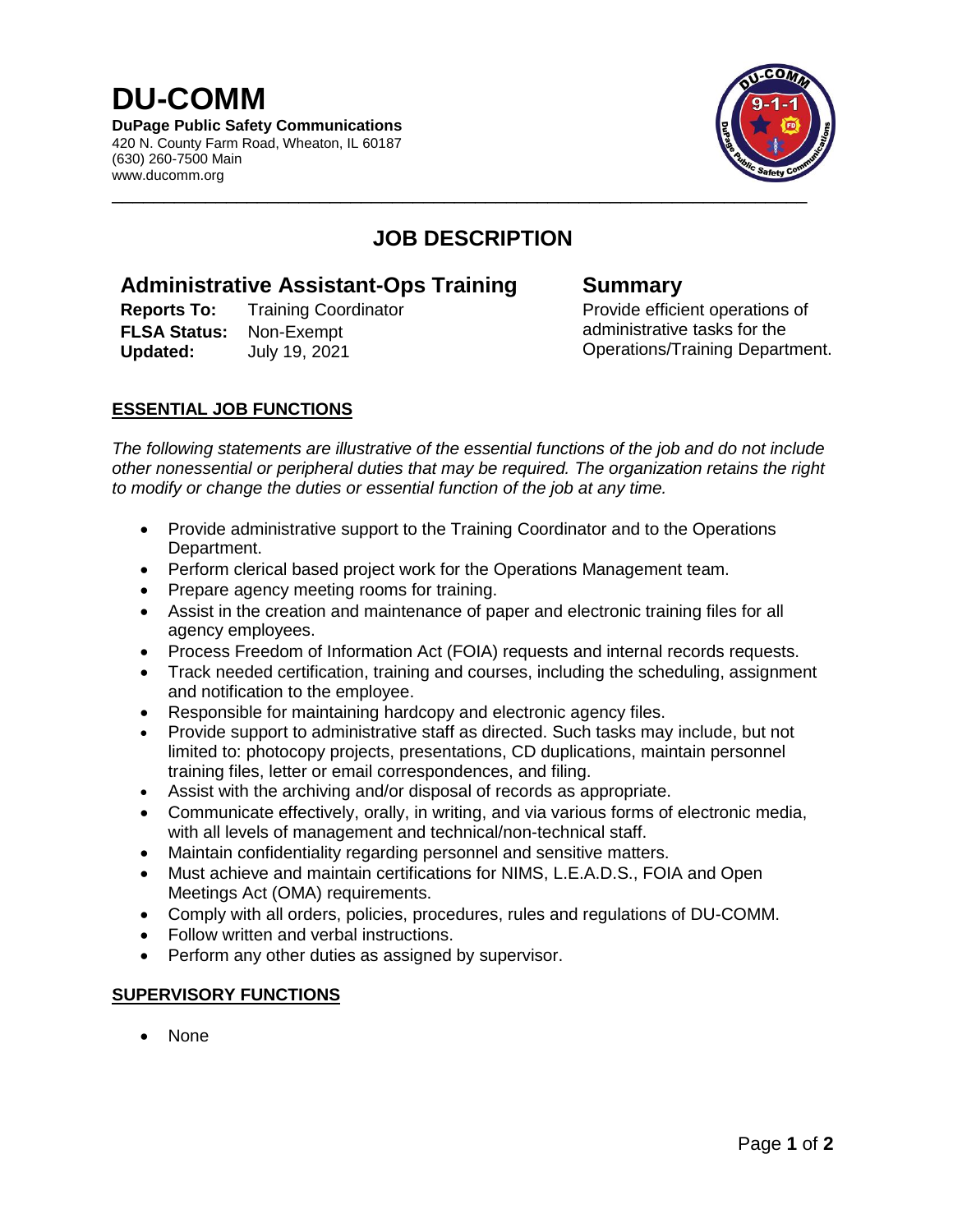# **DU-COMM**

**DuPage Public Safety Communications** 420 N. County Farm Road, Wheaton, IL 60187 (630) 260-7500 Main www.ducomm.org



# **JOB DESCRIPTION**

## **Administrative Assistant-Ops Training Summary**

**Reports To:** Training Coordinator **Provide efficient operations of FLSA Status:** Non-Exempt **Updated:** July 19, 2021

administrative tasks for the Operations/Training Department.

### **ESSENTIAL JOB FUNCTIONS**

*The following statements are illustrative of the essential functions of the job and do not include other nonessential or peripheral duties that may be required. The organization retains the right to modify or change the duties or essential function of the job at any time.*

- Provide administrative support to the Training Coordinator and to the Operations Department.
- Perform clerical based project work for the Operations Management team.
- Prepare agency meeting rooms for training.
- Assist in the creation and maintenance of paper and electronic training files for all agency employees.
- Process Freedom of Information Act (FOIA) requests and internal records requests.
- Track needed certification, training and courses, including the scheduling, assignment and notification to the employee.
- Responsible for maintaining hardcopy and electronic agency files.
- Provide support to administrative staff as directed. Such tasks may include, but not limited to: photocopy projects, presentations, CD duplications, maintain personnel training files, letter or email correspondences, and filing.
- Assist with the archiving and/or disposal of records as appropriate.
- Communicate effectively, orally, in writing, and via various forms of electronic media, with all levels of management and technical/non-technical staff.
- Maintain confidentiality regarding personnel and sensitive matters.
- Must achieve and maintain certifications for NIMS, L.E.A.D.S., FOIA and Open Meetings Act (OMA) requirements.
- Comply with all orders, policies, procedures, rules and regulations of DU-COMM.
- Follow written and verbal instructions.
- Perform any other duties as assigned by supervisor.

#### **SUPERVISORY FUNCTIONS**

• None